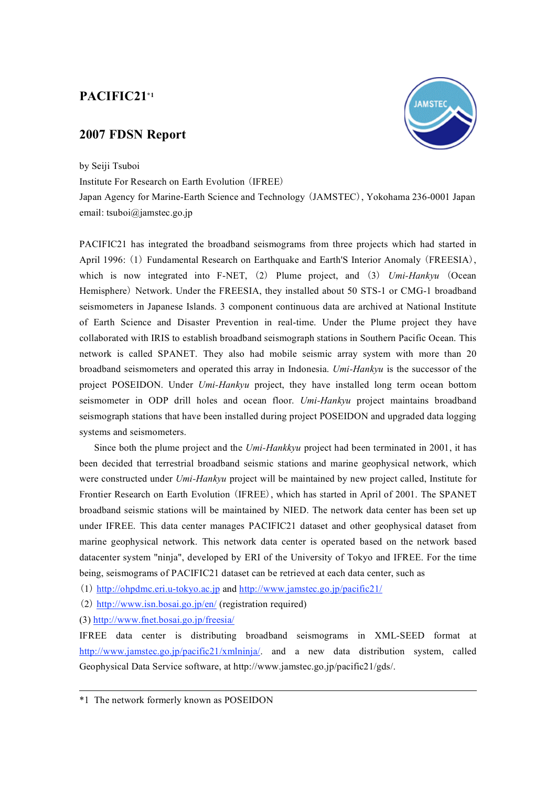## **PACIFIC21\*1**

## **2007 FDSN Report**



Institute For Research on Earth Evolution (IFREE)

Japan Agency for Marine-Earth Science and Technology (JAMSTEC), Yokohama 236-0001 Japan email: tsuboi@jamstec.go.jp

PACIFIC21 has integrated the broadband seismograms from three projects which had started in April 1996: (1) Fundamental Research on Earthquake and Earth'S Interior Anomaly (FREESIA), which is now integrated into F-NET, (2) Plume project, and (3) *Umi-Hankyu* (Ocean Hemisphere) Network. Under the FREESIA, they installed about 50 STS-1 or CMG-1 broadband seismometers in Japanese Islands. 3 component continuous data are archived at National Institute of Earth Science and Disaster Prevention in real-time. Under the Plume project they have collaborated with IRIS to establish broadband seismograph stations in Southern Pacific Ocean. This network is called SPANET. They also had mobile seismic array system with more than 20 broadband seismometers and operated this array in Indonesia. *Umi-Hankyu* is the successor of the project POSEIDON. Under *Umi-Hankyu* project, they have installed long term ocean bottom seismometer in ODP drill holes and ocean floor. *Umi-Hankyu* project maintains broadband seismograph stations that have been installed during project POSEIDON and upgraded data logging systems and seismometers.

Since both the plume project and the *Umi-Hankkyu* project had been terminated in 2001, it has been decided that terrestrial broadband seismic stations and marine geophysical network, which were constructed under *Umi-Hankyu* project will be maintained by new project called, Institute for Frontier Research on Earth Evolution (IFREE), which has started in April of 2001. The SPANET broadband seismic stations will be maintained by NIED. The network data center has been set up under IFREE. This data center manages PACIFIC21 dataset and other geophysical dataset from marine geophysical network. This network data center is operated based on the network based datacenter system "ninja", developed by ERI of the University of Tokyo and IFREE. For the time being, seismograms of PACIFIC21 dataset can be retrieved at each data center, such as

(1) http://ohpdmc.eri.u-tokyo.ac.jp and http://www.jamstec.go.jp/pacific21/

(2) http://www.isn.bosai.go.jp/en/ (registration required)

(3) http://www.fnet.bosai.go.jp/freesia/

IFREE data center is distributing broadband seismograms in XML-SEED format at http://www.jamstec.go.jp/pacific21/xmlninja/ and a new data distribution system, called Geophysical Data Service software, at http://www.jamstec.go.jp/pacific21/gds/.



<sup>\*1</sup> The network formerly known as POSEIDON